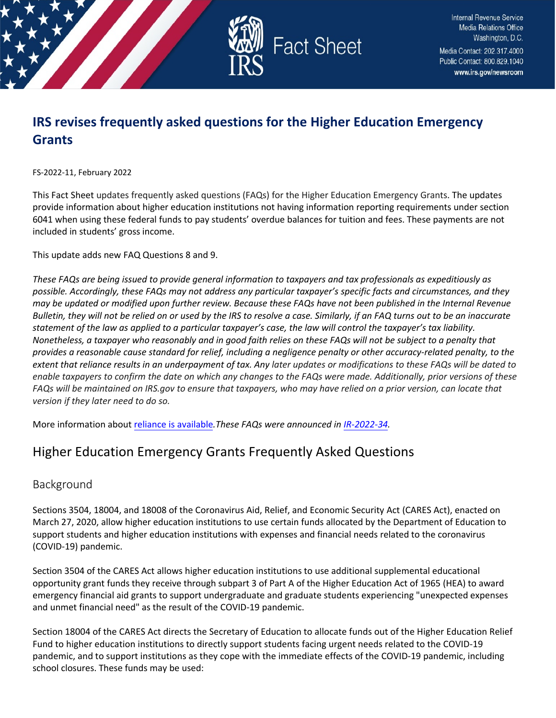

**Internal Revenue Service Media Relations Office** Washington, D.C. Media Contact: 202.317.4000 Public Contact: 800.829.1040 www.irs.gov/newsroom

# **IRS revises frequently asked questions for the Higher Education Emergency Grants**

FS-2022-11, February 2022

This Fact Sheet updates frequently asked questions (FAQs) for the Higher Education Emergency Grants. The updates provide information about higher education institutions not having information reporting requirements under section 6041 when using these federal funds to pay students' overdue balances for tuition and fees. These payments are not included in students' gross income.

This update adds new FAQ Questions 8 and 9.

*These FAQs are being issued to provide general information to taxpayers and tax professionals as expeditiously as possible. Accordingly, these FAQs may not address any particular taxpayer's specific facts and circumstances, and they may be updated or modified upon further review. Because these FAQs have not been published in the Internal Revenue Bulletin, they will not be relied on or used by the IRS to resolve a case. Similarly, if an FAQ turns out to be an inaccurate statement of the law as applied to a particular taxpayer's case, the law will control the taxpayer's tax liability. Nonetheless, a taxpayer who reasonably and in good faith relies on these FAQs will not be subject to a penalty that provides a reasonable cause standard for relief, including a negligence penalty or other accuracy-related penalty, to the extent that reliance results in an underpayment of tax. Any later updates or modifications to these FAQs will be dated to enable taxpayers to confirm the date on which any changes to the FAQs were made. Additionally, prior versions of these FAQs will be maintained on IRS.gov to ensure that taxpayers, who may have relied on a prior version, can locate that version if they later need to do so.* 

More information about [reliance is available](https://www.irs.gov/newsroom/general-overview-of-taxpayer-reliance-on-guidance-published-in-the-internal-revenue-bulletin-and-faqs)*.These FAQs were announced i[n IR-2022-34.](https://www.irs.gov/newsroom/irs-updates-faqs-for-higher-education-emergency-grants)*

# Higher Education Emergency Grants Frequently Asked Questions

# Background

Sections 3504, 18004, and 18008 of the Coronavirus Aid, Relief, and Economic Security Act (CARES Act), enacted on March 27, 2020, allow higher education institutions to use certain funds allocated by the Department of Education to support students and higher education institutions with expenses and financial needs related to the coronavirus (COVID-19) pandemic.

Section 3504 of the CARES Act allows higher education institutions to use additional supplemental educational opportunity grant funds they receive through subpart 3 of Part A of the Higher Education Act of 1965 (HEA) to award emergency financial aid grants to support undergraduate and graduate students experiencing "unexpected expenses and unmet financial need" as the result of the COVID-19 pandemic.

Section 18004 of the CARES Act directs the Secretary of Education to allocate funds out of the Higher Education Relief Fund to higher education institutions to directly support students facing urgent needs related to the COVID-19 pandemic, and to support institutions as they cope with the immediate effects of the COVID-19 pandemic, including school closures. These funds may be used: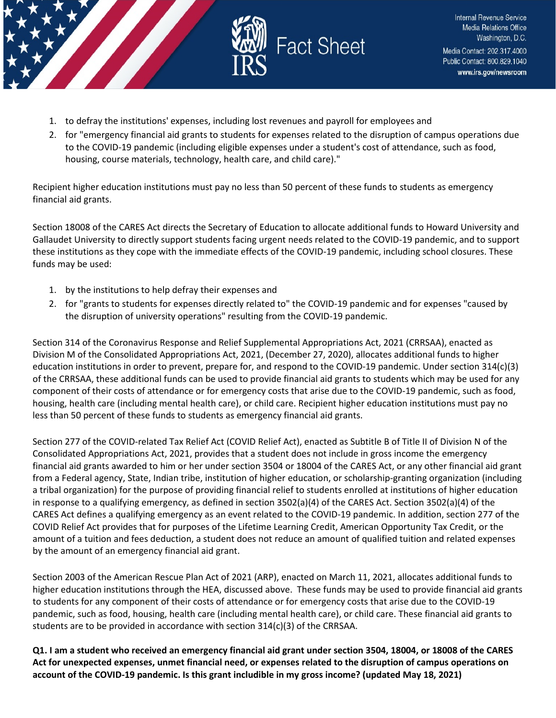

- 1. to defray the institutions' expenses, including lost revenues and payroll for employees and
- 2. for "emergency financial aid grants to students for expenses related to the disruption of campus operations due to the COVID-19 pandemic (including eligible expenses under a student's cost of attendance, such as food, housing, course materials, technology, health care, and child care)."

Recipient higher education institutions must pay no less than 50 percent of these funds to students as emergency financial aid grants.

Section 18008 of the CARES Act directs the Secretary of Education to allocate additional funds to Howard University and Gallaudet University to directly support students facing urgent needs related to the COVID-19 pandemic, and to support these institutions as they cope with the immediate effects of the COVID-19 pandemic, including school closures. These funds may be used:

- 1. by the institutions to help defray their expenses and
- 2. for "grants to students for expenses directly related to" the COVID-19 pandemic and for expenses "caused by the disruption of university operations" resulting from the COVID-19 pandemic.

Section 314 of the Coronavirus Response and Relief Supplemental Appropriations Act, 2021 (CRRSAA), enacted as Division M of the Consolidated Appropriations Act, 2021, (December 27, 2020), allocates additional funds to higher education institutions in order to prevent, prepare for, and respond to the COVID-19 pandemic. Under section 314(c)(3) of the CRRSAA, these additional funds can be used to provide financial aid grants to students which may be used for any component of their costs of attendance or for emergency costs that arise due to the COVID-19 pandemic, such as food, housing, health care (including mental health care), or child care. Recipient higher education institutions must pay no less than 50 percent of these funds to students as emergency financial aid grants.

Section 277 of the COVID-related Tax Relief Act (COVID Relief Act), enacted as Subtitle B of Title II of Division N of the Consolidated Appropriations Act, 2021, provides that a student does not include in gross income the emergency financial aid grants awarded to him or her under section 3504 or 18004 of the CARES Act, or any other financial aid grant from a Federal agency, State, Indian tribe, institution of higher education, or scholarship-granting organization (including a tribal organization) for the purpose of providing financial relief to students enrolled at institutions of higher education in response to a qualifying emergency, as defined in section 3502(a)(4) of the CARES Act. Section 3502(a)(4) of the CARES Act defines a qualifying emergency as an event related to the COVID-19 pandemic. In addition, section 277 of the COVID Relief Act provides that for purposes of the Lifetime Learning Credit, American Opportunity Tax Credit, or the amount of a tuition and fees deduction, a student does not reduce an amount of qualified tuition and related expenses by the amount of an emergency financial aid grant.

Section 2003 of the American Rescue Plan Act of 2021 (ARP), enacted on March 11, 2021, allocates additional funds to higher education institutions through the HEA, discussed above. These funds may be used to provide financial aid grants to students for any component of their costs of attendance or for emergency costs that arise due to the COVID-19 pandemic, such as food, housing, health care (including mental health care), or child care. These financial aid grants to students are to be provided in accordance with section  $314(c)(3)$  of the CRRSAA.

**Q1. I am a student who received an emergency financial aid grant under section 3504, 18004, or 18008 of the CARES Act for unexpected expenses, unmet financial need, or expenses related to the disruption of campus operations on account of the COVID-19 pandemic. Is this grant includible in my gross income? (updated May 18, 2021)**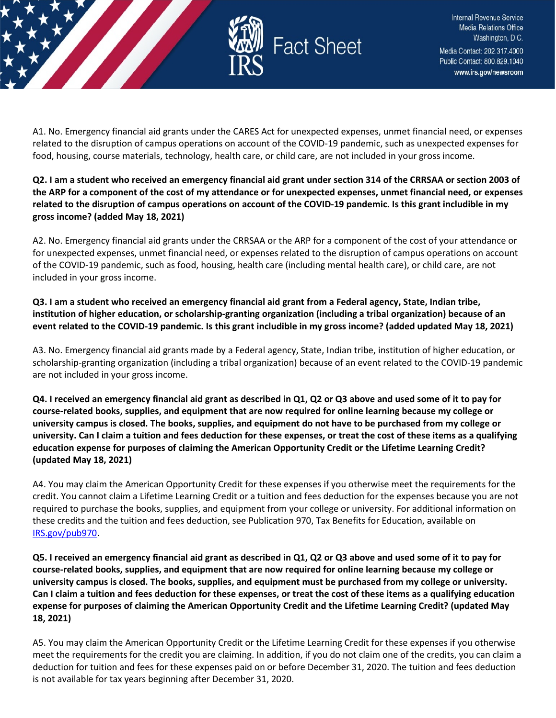

Internal Revenue Service Media Relations Office Washington, D.C. Media Contact: 202.317.4000 Public Contact: 800.829.1040 www.irs.gov/newsroom

A1. No. Emergency financial aid grants under the CARES Act for unexpected expenses, unmet financial need, or expenses related to the disruption of campus operations on account of the COVID-19 pandemic, such as unexpected expenses for food, housing, course materials, technology, health care, or child care, are not included in your gross income.

**Q2. I am a student who received an emergency financial aid grant under section 314 of the CRRSAA or section 2003 of the ARP for a component of the cost of my attendance or for unexpected expenses, unmet financial need, or expenses related to the disruption of campus operations on account of the COVID-19 pandemic. Is this grant includible in my gross income? (added May 18, 2021)**

A2. No. Emergency financial aid grants under the CRRSAA or the ARP for a component of the cost of your attendance or for unexpected expenses, unmet financial need, or expenses related to the disruption of campus operations on account of the COVID-19 pandemic, such as food, housing, health care (including mental health care), or child care, are not included in your gross income.

**Q3. I am a student who received an emergency financial aid grant from a Federal agency, State, Indian tribe, institution of higher education, or scholarship-granting organization (including a tribal organization) because of an event related to the COVID-19 pandemic. Is this grant includible in my gross income? (added updated May 18, 2021)**

A3. No. Emergency financial aid grants made by a Federal agency, State, Indian tribe, institution of higher education, or scholarship-granting organization (including a tribal organization) because of an event related to the COVID-19 pandemic are not included in your gross income.

**Q4. I received an emergency financial aid grant as described in Q1, Q2 or Q3 above and used some of it to pay for course-related books, supplies, and equipment that are now required for online learning because my college or university campus is closed. The books, supplies, and equipment do not have to be purchased from my college or university. Can I claim a tuition and fees deduction for these expenses, or treat the cost of these items as a qualifying education expense for purposes of claiming the American Opportunity Credit or the Lifetime Learning Credit? (updated May 18, 2021)**

A4. You may claim the American Opportunity Credit for these expenses if you otherwise meet the requirements for the credit. You cannot claim a Lifetime Learning Credit or a tuition and fees deduction for the expenses because you are not required to purchase the books, supplies, and equipment from your college or university. For additional information on these credits and the tuition and fees deduction, see Publication 970, Tax Benefits for Education, available on [IRS.gov/pub970.](https://www.irs.gov/forms-pubs/about-publication-970)

**Q5. I received an emergency financial aid grant as described in Q1, Q2 or Q3 above and used some of it to pay for course-related books, supplies, and equipment that are now required for online learning because my college or university campus is closed. The books, supplies, and equipment must be purchased from my college or university. Can I claim a tuition and fees deduction for these expenses, or treat the cost of these items as a qualifying education expense for purposes of claiming the American Opportunity Credit and the Lifetime Learning Credit? (updated May 18, 2021)**

A5. You may claim the American Opportunity Credit or the Lifetime Learning Credit for these expenses if you otherwise meet the requirements for the credit you are claiming. In addition, if you do not claim one of the credits, you can claim a deduction for tuition and fees for these expenses paid on or before December 31, 2020. The tuition and fees deduction is not available for tax years beginning after December 31, 2020.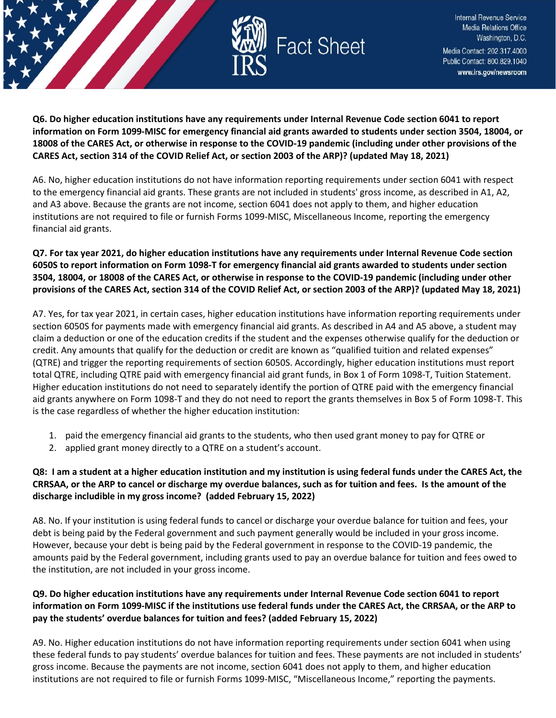

**Q6. Do higher education institutions have any requirements under Internal Revenue Code section 6041 to report information on Form 1099-MISC for emergency financial aid grants awarded to students under section 3504, 18004, or 18008 of the CARES Act, or otherwise in response to the COVID-19 pandemic (including under other provisions of the CARES Act, section 314 of the COVID Relief Act, or section 2003 of the ARP)? (updated May 18, 2021)**

A6. No, higher education institutions do not have information reporting requirements under section 6041 with respect to the emergency financial aid grants. These grants are not included in students' gross income, as described in A1, A2, and A3 above. Because the grants are not income, section 6041 does not apply to them, and higher education institutions are not required to file or furnish Forms 1099-MISC, Miscellaneous Income, reporting the emergency financial aid grants.

#### **Q7. For tax year 2021, do higher education institutions have any requirements under Internal Revenue Code section 6050S to report information on Form 1098-T for emergency financial aid grants awarded to students under section 3504, 18004, or 18008 of the CARES Act, or otherwise in response to the COVID-19 pandemic (including under other provisions of the CARES Act, section 314 of the COVID Relief Act, or section 2003 of the ARP)? (updated May 18, 2021)**

A7. Yes, for tax year 2021, in certain cases, higher education institutions have information reporting requirements under section 6050S for payments made with emergency financial aid grants. As described in A4 and A5 above, a student may claim a deduction or one of the education credits if the student and the expenses otherwise qualify for the deduction or credit. Any amounts that qualify for the deduction or credit are known as "qualified tuition and related expenses" (QTRE) and trigger the reporting requirements of section 6050S. Accordingly, higher education institutions must report total QTRE, including QTRE paid with emergency financial aid grant funds, in Box 1 of Form 1098-T, Tuition Statement. Higher education institutions do not need to separately identify the portion of QTRE paid with the emergency financial aid grants anywhere on Form 1098-T and they do not need to report the grants themselves in Box 5 of Form 1098-T. This is the case regardless of whether the higher education institution:

- 1. paid the emergency financial aid grants to the students, who then used grant money to pay for QTRE or
- 2. applied grant money directly to a QTRE on a student's account.

## **Q8: I am a student at a higher education institution and my institution is using federal funds under the CARES Act, the CRRSAA, or the ARP to cancel or discharge my overdue balances, such as for tuition and fees. Is the amount of the discharge includible in my gross income? (added February 15, 2022)**

A8. No. If your institution is using federal funds to cancel or discharge your overdue balance for tuition and fees, your debt is being paid by the Federal government and such payment generally would be included in your gross income. However, because your debt is being paid by the Federal government in response to the COVID-19 pandemic, the amounts paid by the Federal government, including grants used to pay an overdue balance for tuition and fees owed to the institution, are not included in your gross income.

## **Q9. Do higher education institutions have any requirements under Internal Revenue Code section 6041 to report information on Form 1099-MISC if the institutions use federal funds under the CARES Act, the CRRSAA, or the ARP to pay the students' overdue balances for tuition and fees? (added February 15, 2022)**

A9. No. Higher education institutions do not have information reporting requirements under section 6041 when using these federal funds to pay students' overdue balances for tuition and fees. These payments are not included in students' gross income. Because the payments are not income, section 6041 does not apply to them, and higher education institutions are not required to file or furnish Forms 1099-MISC, "Miscellaneous Income," reporting the payments.